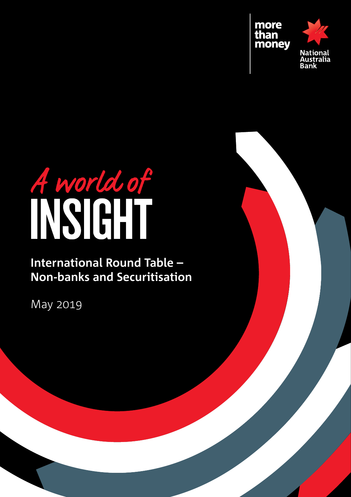

# A world of

# **International Round Table – Non-banks and Securitisation**

May 2019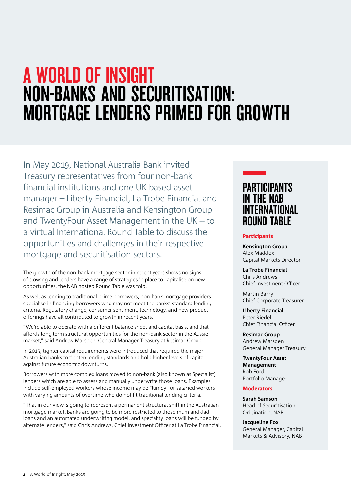# $\overline{a}$  and  $\overline{b}$ A world of insight Non-Banks and Securitisation: Mortgage lenders primed for growth

In May 2019, National Australia Bank invited Treasury representatives from four non-bank financial institutions and one UK based asset manager – Liberty Financial, La Trobe Financial and Resimac Group in Australia and Kensington Group and TwentyFour Asset Management in the UK -- to a virtual International Round Table to discuss the opportunities and challenges in their respective mortgage and securitisation sectors.

The growth of the non-bank mortgage sector in recent years shows no signs of slowing and lenders have a range of strategies in place to capitalise on new opportunities, the NAB hosted Round Table was told.

As well as lending to traditional prime borrowers, non-bank mortgage providers specialise in financing borrowers who may not meet the banks' standard lending criteria. Regulatory change, consumer sentiment, technology, and new product offerings have all contributed to growth in recent years.

"We're able to operate with a different balance sheet and capital basis, and that affords long term structural opportunities for the non-bank sector in the Aussie market," said Andrew Marsden, General Manager Treasury at Resimac Group.

In 2015, tighter capital requirements were introduced that required the major Australian banks to tighten lending standards and hold higher levels of capital against future economic downturns.

Borrowers with more complex loans moved to non-bank (also known as Specialist) lenders which are able to assess and manually underwrite those loans. Examples include self-employed workers whose income may be "lumpy" or salaried workers with varying amounts of overtime who do not fit traditional lending criteria.

"That in our view is going to represent a permanent structural shift in the Australian mortgage market. Banks are going to be more restricted to those mum and dad loans and an automated underwriting model, and speciality loans will be funded by alternate lenders," said Chris Andrews, Chief Investment Officer at La Trobe Financial.

# **PARTICIPANTS** in the NAB international round table

### Participants

**Kensington Group** Alex Maddox Capital Markets Director

**La Trobe Financial** Chris Andrews Chief Investment Officer

Martin Barry Chief Corporate Treasurer

**Liberty Financial** Peter Riedel Chief Financial Officer

**Resimac Group** Andrew Marsden General Manager Treasury

**TwentyFour Asset Management** Rob Ford Portfolio Manager

### **Moderators**

**Sarah Samson** Head of Securitisation Origination, NAB

**Jacqueline Fox** General Manager, Capital Markets & Advisory, NAB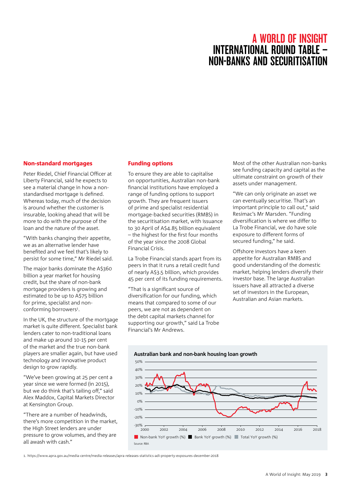# A WORLD OF INSIGHT International Round Table – Non-banks and Securitisation

### Non-standard mortgages

Peter Riedel, Chief Financial Officer at Liberty Financial, said he expects to see a material change in how a nonstandardised mortgage is defined. Whereas today, much of the decision is around whether the customer is insurable, looking ahead that will be more to do with the purpose of the loan and the nature of the asset.

"With banks changing their appetite, we as an alternative lender have benefited and we feel that's likely to persist for some time," Mr Riedel said.

The major banks dominate the A\$360 billion a year market for housing credit, but the share of non-bank mortgage providers is growing and estimated to be up to A\$75 billion for prime, specialist and nonconforming borrowers<sup>1</sup>.

In the UK, the structure of the mortgage market is quite different. Specialist bank lenders cater to non-traditional loans and make up around 10-15 per cent of the market and the true non-bank players are smaller again, but have used technology and innovative product design to grow rapidly.

"We've been growing at 25 per cent a year since we were formed (in 2015), but we do think that's tailing off," said Alex Maddox, Capital Markets Director at Kensington Group.

"There are a number of headwinds, there's more competition in the market, the High Street lenders are under pressure to grow volumes, and they are all awash with cash."

### Funding options

To ensure they are able to capitalise on opportunities, Australian non-bank financial institutions have employed a range of funding options to support growth. They are frequent issuers of prime and specialist residential mortgage-backed securities (RMBS) in the securitisation market, with issuance to 30 April of A\$4.85 billion equivalent – the highest for the first four months of the year since the 2008 Global Financial Crisis.

La Trobe Financial stands apart from its peers in that it runs a retail credit fund of nearly A\$3.5 billion, which provides 45 per cent of its funding requirements.

"That is a significant source of diversification for our funding, which means that compared to some of our peers, we are not as dependent on the debt capital markets channel for supporting our growth," said La Trobe Financial's Mr Andrews.

Most of the other Australian non-banks see funding capacity and capital as the ultimate constraint on growth of their assets under management.

"We can only originate an asset we can eventually securitise. That's an important principle to call out," said Resimac's Mr Marsden. "Funding diversification is where we differ to La Trobe Financial, we do have sole exposure to different forms of secured funding," he said.

Offshore investors have a keen appetite for Australian RMBS and good understanding of the domestic market, helping lenders diversify their investor base. The large Australian issuers have all attracted a diverse set of investors in the European, Australian and Asian markets.



1. https://www.apra.gov.au/media-centre/media-releases/apra-releases-statistics-adi-property-exposures-december-2018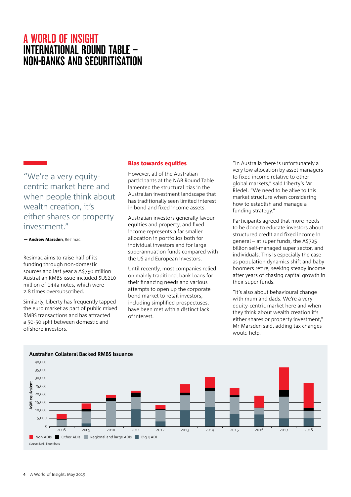# A WORLD OF INSIGHT International Round Table – Non-banks and Securitisation

"We're a very equitycentric market here and when people think about wealth creation, it's either shares or property investment."

— Andrew Marsden, Resimac.

Resimac aims to raise half of its funding through non-domestic sources and last year a A\$750 million Australian RMBS issue included \$US210 million of 144a notes, which were 2.8 times oversubscribed.

Similarly, Liberty has frequently tapped the euro market as part of public mixed RMBS transactions and has attracted a 50-50 split between domestic and offshore investors.

### Bias towards equities

However, all of the Australian participants at the NAB Round Table lamented the structural bias in the Australian investment landscape that has traditionally seen limited interest in bond and fixed income assets.

Australian investors generally favour equities and property, and fixed income represents a far smaller allocation in portfolios both for individual investors and for large superannuation funds compared with the US and European investors.

Until recently, most companies relied on mainly traditional bank loans for their financing needs and various attempts to open up the corporate bond market to retail investors, including simplified prospectuses, have been met with a distinct lack of interest.

"In Australia there is unfortunately a very low allocation by asset managers to fixed income relative to other global markets," said Liberty's Mr Riedel. "We need to be alive to this market structure when considering how to establish and manage a funding strategy."

Participants agreed that more needs to be done to educate investors about structured credit and fixed income in general – at super funds, the A\$725 billion self-managed super sector, and individuals. This is especially the case as population dynamics shift and baby boomers retire, seeking steady income after years of chasing capital growth in their super funds.

"It's also about behavioural change with mum and dads. We're a very equity-centric market here and when they think about wealth creation it's either shares or property investment," Mr Marsden said, adding tax changes would help.



### **Australian Collateral Backed RMBS Issuance**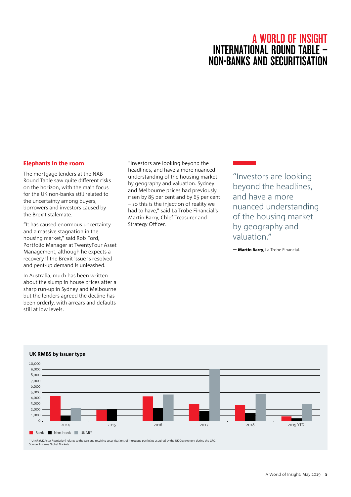# A WORLD OF INSIGHT International Round Table – NON-BANKS AND SECURITISAT

### Elephants in the room

The mortgage lenders at the NAB Round Table saw quite different risks on the horizon, with the main focus for the UK non-banks still related to the uncertainty among buyers, borrowers and investors caused by the Brexit stalemate.

"It has caused enormous uncertainty and a massive stagnation in the housing market," said Rob Ford, Portfolio Manager at TwentyFour Asset Management, although he expects a recovery if the Brexit issue is resolved and pent-up demand is unleashed.

In Australia, much has been written about the slump in house prices after a sharp run-up in Sydney and Melbourne but the lenders agreed the decline has been orderly, with arrears and defaults still at low levels.

"Investors are looking beyond the headlines, and have a more nuanced understanding of the housing market by geography and valuation. Sydney and Melbourne prices had previously risen by 85 per cent and by 65 per cent – so this is the injection of reality we had to have," said La Trobe Financial's Martin Barry, Chief Treasurer and Strategy Officer.

"Investors are looking beyond the headlines, and have a more nuanced understanding of the housing market by geography and valuation."

— Martin Barry, La Trobe Financial.



### **UK RMBS by issuer type**

\* UKAR (UK Asset Resolution) relates to the sale and resulting securitisations of mortgage portfolios acquired by the UK Government during the GFC. Source: Informa Global Markets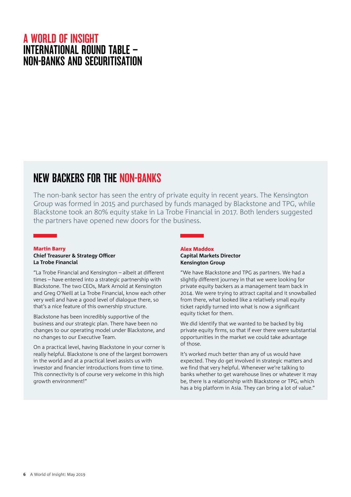# A WORLD OF INSIGHT International Round Table – Non-banks and Securitisation

# NEW BACKERS FOR THE NON-BANKS

The non-bank sector has seen the entry of private equity in recent years. The Kensington Group was formed in 2015 and purchased by funds managed by Blackstone and TPG, while Blackstone took an 80% equity stake in La Trobe Financial in 2017. Both lenders suggested the partners have opened new doors for the business.

### Martin Barry

### **Chief Treasurer & Strategy Officer La Trobe Financial**

"La Trobe Financial and Kensington – albeit at different times – have entered into a strategic partnership with Blackstone. The two CEOs, Mark Arnold at Kensington and Greg O'Neill at La Trobe Financial, know each other very well and have a good level of dialogue there, so that's a nice feature of this ownership structure.

Blackstone has been incredibly supportive of the business and our strategic plan. There have been no changes to our operating model under Blackstone, and no changes to our Executive Team.

On a practical level, having Blackstone in your corner is really helpful. Blackstone is one of the largest borrowers in the world and at a practical level assists us with investor and financier introductions from time to time. This connectivity is of course very welcome in this high growth environment!"

### Alex Maddox **Capital Markets Director Kensington Group**

"We have Blackstone and TPG as partners. We had a slightly different journey in that we were looking for private equity backers as a management team back in 2014. We were trying to attract capital and it snowballed from there, what looked like a relatively small equity ticket rapidly turned into what is now a significant equity ticket for them.

We did identify that we wanted to be backed by big private equity firms, so that if ever there were substantial opportunities in the market we could take advantage of those.

It's worked much better than any of us would have expected. They do get involved in strategic matters and we find that very helpful. Whenever we're talking to banks whether to get warehouse lines or whatever it may be, there is a relationship with Blackstone or TPG, which has a big platform in Asia. They can bring a lot of value."